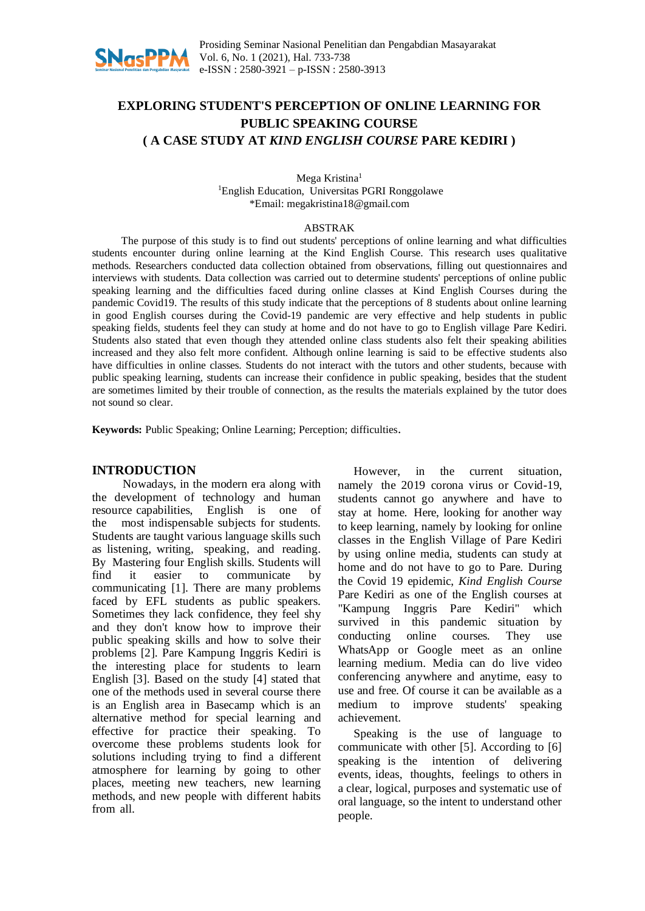

# **EXPLORING STUDENT'S PERCEPTION OF ONLINE LEARNING FOR PUBLIC SPEAKING COURSE ( A CASE STUDY AT** *KIND ENGLISH COURSE* **PARE KEDIRI )**

Mega Kristina 1 <sup>1</sup>English Education, Universitas PGRI Ronggolawe \*Email: megakristina18@gmail.com

#### ABSTRAK

The purpose of this study is to find out students' perceptions of online learning and what difficulties students encounter during online learning at the Kind English Course. This research uses qualitative methods. Researchers conducted data collection obtained from observations, filling out questionnaires and interviews with students. Data collection was carried out to determine students' perceptions of online public speaking learning and the difficulties faced during online classes at Kind English Courses during the pandemic Covid19. The results of this study indicate that the perceptions of 8 students about online learning in good English courses during the Covid-19 pandemic are very effective and help students in public speaking fields, students feel they can study at home and do not have to go to English village Pare Kediri. Students also stated that even though they attended online class students also felt their speaking abilities increased and they also felt more confident. Although online learning is said to be effective students also have difficulties in online classes. Students do not interact with the tutors and other students, because with public speaking learning, students can increase their confidence in public speaking, besides that the student are sometimes limited by their trouble of connection, as the results the materials explained by the tutor does not sound so clear.

**Keywords:** Public Speaking; Online Learning; Perception; difficulties.

#### **INTRODUCTION**

Nowadays, in the modern era along with the development of technology and human resource capabilities, English is one of the most indispensable subjects for students. Students are taught various language skills such as listening, writing, speaking, and reading. By Mastering four English skills. Students will find it easier to communicate by communicating [1]. There are many problems faced by EFL students as public speakers. Sometimes they lack confidence, they feel shy and they don't know how to improve their public speaking skills and how to solve their problems [2]. Pare Kampung Inggris Kediri is the interesting place for students to learn English [3]. Based on the study [4] stated that one of the methods used in several course there is an English area in Basecamp which is an alternative method for special learning and effective for practice their speaking. To overcome these problems students look for solutions including trying to find a different atmosphere for learning by going to other places, meeting new teachers, new learning methods, and new people with different habits from all.

However, in the current situation, namely the 2019 corona virus or Covid-19, students cannot go anywhere and have to stay at home. Here, looking for another way to keep learning, namely by looking for online classes in the English Village of Pare Kediri by using online media, students can study at home and do not have to go to Pare. During the Covid 19 epidemic, *Kind English Course* Pare Kediri as one of the English courses at "Kampung Inggris Pare Kediri" which survived in this pandemic situation by conducting online courses. They use WhatsApp or Google meet as an online learning medium. Media can do live video conferencing anywhere and anytime, easy to use and free. Of course it can be available as a medium to improve students' speaking achievement.

Speaking is the use of language to communicate with other [5]. According to [6] speaking is the intention of delivering events, ideas, thoughts, feelings to others in a clear, logical, purposes and systematic use of oral language, so the intent to understand other people.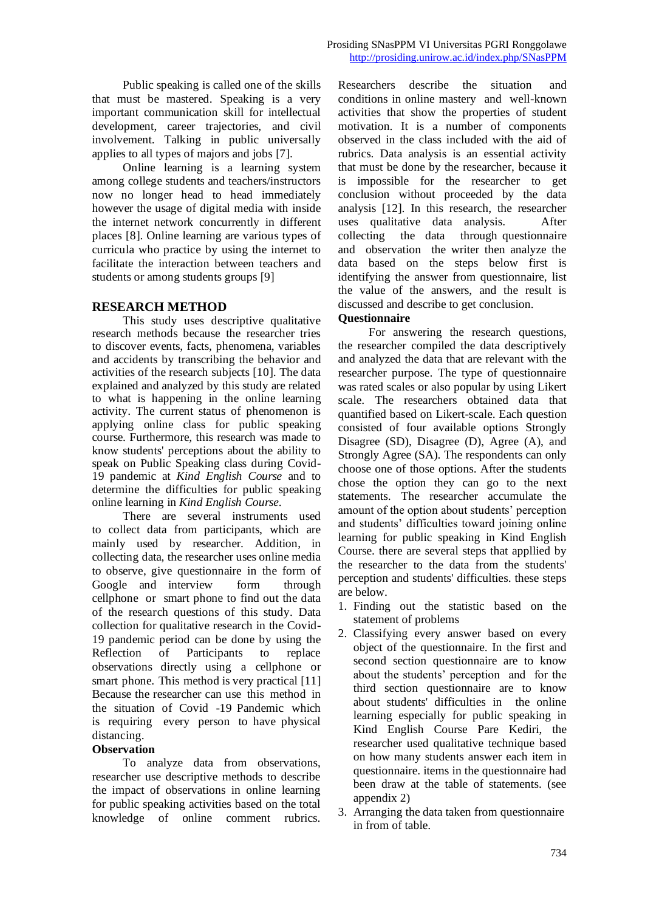Public speaking is called one of the skills that must be mastered. Speaking is a very important communication skill for intellectual development, career trajectories, and civil involvement. Talking in public universally applies to all types of majors and jobs [7].

Online learning is a learning system among college students and teachers/instructors now no longer head to head immediately however the usage of digital media with inside the internet network concurrently in different places [8]. Online learning are various types of curricula who practice by using the internet to facilitate the interaction between teachers and students or among students groups [9]

# **RESEARCH METHOD**

This study uses descriptive qualitative research methods because the researcher tries to discover events, facts, phenomena, variables and accidents by transcribing the behavior and activities of the research subjects [10]. The data explained and analyzed by this study are related to what is happening in the online learning activity. The current status of phenomenon is applying online class for public speaking course. Furthermore, this research was made to know students' perceptions about the ability to speak on Public Speaking class during Covid-19 pandemic at *Kind English Course* and to determine the difficulties for public speaking online learning in *Kind English Course*.

There are several instruments used to collect data from participants, which are mainly used by researcher. Addition, in collecting data, the researcher uses online media to observe, give questionnaire in the form of Google and interview form through cellphone or smart phone to find out the data of the research questions of this study. Data collection for qualitative research in the Covid-19 pandemic period can be done by using the Reflection of Participants to replace observations directly using a cellphone or smart phone. This method is very practical [11] Because the researcher can use this method in the situation of Covid -19 Pandemic which is requiring every person to have physical distancing.

#### **Observation**

To analyze data from observations, researcher use descriptive methods to describe the impact of observations in online learning for public speaking activities based on the total knowledge of online comment rubrics. Researchers describe the situation and conditions in online mastery and well-known activities that show the properties of student motivation. It is a number of components observed in the class included with the aid of rubrics. Data analysis is an essential activity that must be done by the researcher, because it is impossible for the researcher to get conclusion without proceeded by the data analysis [12]. In this research, the researcher uses qualitative data analysis. After collecting the data through questionnaire and observation the writer then analyze the data based on the steps below first is identifying the answer from questionnaire, list the value of the answers, and the result is discussed and describe to get conclusion.

# **Questionnaire**

For answering the research questions, the researcher compiled the data descriptively and analyzed the data that are relevant with the researcher purpose. The type of questionnaire was rated scales or also popular by using Likert scale. The researchers obtained data that quantified based on Likert-scale. Each question consisted of four available options Strongly Disagree (SD), Disagree (D), Agree (A), and Strongly Agree (SA). The respondents can only choose one of those options. After the students chose the option they can go to the next statements. The researcher accumulate the amount of the option about students' perception and students' difficulties toward joining online learning for public speaking in Kind English Course. there are several steps that appllied by the researcher to the data from the students' perception and students' difficulties. these steps are below.

- 1. Finding out the statistic based on the statement of problems
- 2. Classifying every answer based on every object of the questionnaire. In the first and second section questionnaire are to know about the students' perception and for the third section questionnaire are to know about students' difficulties in the online learning especially for public speaking in Kind English Course Pare Kediri, the researcher used qualitative technique based on how many students answer each item in questionnaire. items in the questionnaire had been draw at the table of statements. (see appendix 2)
- 3. Arranging the data taken from questionnaire in from of table.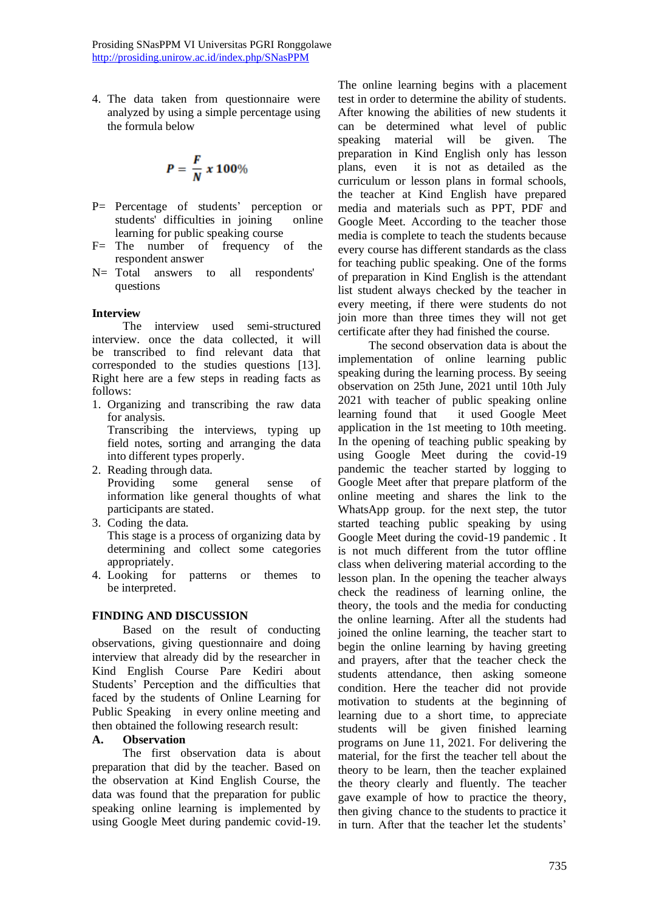4. The data taken from questionnaire were analyzed by using a simple percentage using the formula below

$$
P=\frac{F}{N}\times 100\%
$$

- P= Percentage of students' perception or students' difficulties in joining online students' difficulties in joining learning for public speaking course
- $F=$  The number of frequency of the respondent answer
- N= Total answers to all respondents' questions

#### **Interview**

The interview used semi-structured interview. once the data collected, it will be transcribed to find relevant data that corresponded to the studies questions [13]. Right here are a few steps in reading facts as follows:

1. Organizing and transcribing the raw data for analysis.

Transcribing the interviews, typing up field notes, sorting and arranging the data into different types properly.

- 2. Reading through data. Providing some general sense of information like general thoughts of what participants are stated.
- 3. Coding the data.

This stage is a process of organizing data by determining and collect some categories appropriately.

4. Looking for patterns or themes to be interpreted.

#### **FINDING AND DISCUSSION**

Based on the result of conducting observations, giving questionnaire and doing interview that already did by the researcher in Kind English Course Pare Kediri about Students' Perception and the difficulties that faced by the students of Online Learning for Public Speaking in every online meeting and then obtained the following research result:

### **A. Observation**

The first observation data is about preparation that did by the teacher. Based on the observation at Kind English Course, the data was found that the preparation for public speaking online learning is implemented by using Google Meet during pandemic covid-19.

The online learning begins with a placement test in order to determine the ability of students. After knowing the abilities of new students it can be determined what level of public speaking material will be given. The preparation in Kind English only has lesson plans, even it is not as detailed as the curriculum or lesson plans in formal schools, the teacher at Kind English have prepared media and materials such as PPT, PDF and Google Meet. According to the teacher those media is complete to teach the students because every course has different standards as the class for teaching public speaking. One of the forms of preparation in Kind English is the attendant list student always checked by the teacher in every meeting, if there were students do not join more than three times they will not get certificate after they had finished the course.

The second observation data is about the implementation of online learning public speaking during the learning process. By seeing observation on 25th June, 2021 until 10th July 2021 with teacher of public speaking online learning found that it used Google Meet application in the 1st meeting to 10th meeting. In the opening of teaching public speaking by using Google Meet during the covid-19 pandemic the teacher started by logging to Google Meet after that prepare platform of the online meeting and shares the link to the WhatsApp group. for the next step, the tutor started teaching public speaking by using Google Meet during the covid-19 pandemic . It is not much different from the tutor offline class when delivering material according to the lesson plan. In the opening the teacher always check the readiness of learning online, the theory, the tools and the media for conducting the online learning. After all the students had joined the online learning, the teacher start to begin the online learning by having greeting and prayers, after that the teacher check the students attendance, then asking someone condition. Here the teacher did not provide motivation to students at the beginning of learning due to a short time, to appreciate students will be given finished learning programs on June 11, 2021. For delivering the material, for the first the teacher tell about the theory to be learn, then the teacher explained the theory clearly and fluently. The teacher gave example of how to practice the theory, then giving chance to the students to practice it in turn. After that the teacher let the students'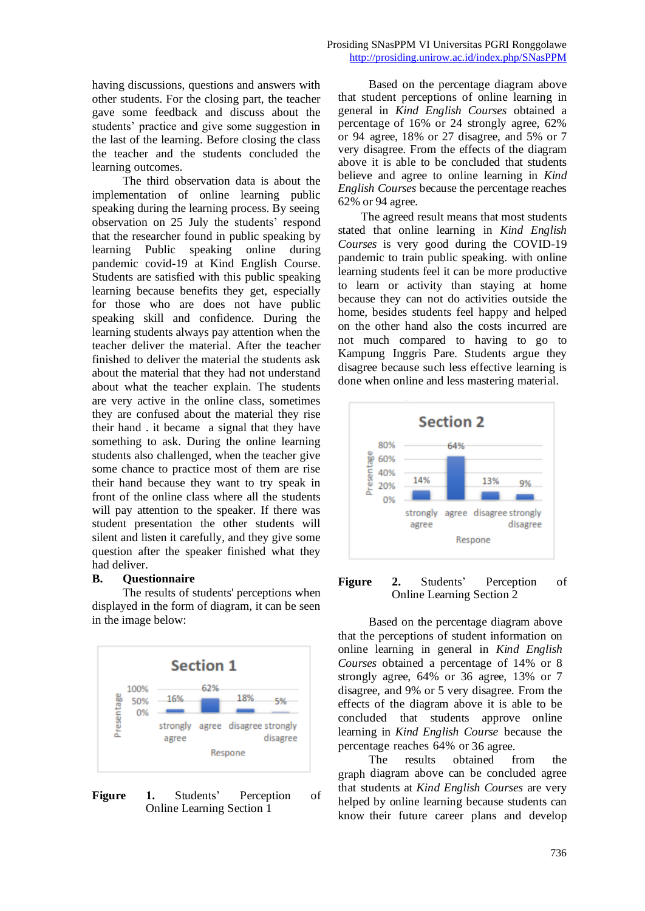having discussions, questions and answers with other students. For the closing part, the teacher gave some feedback and discuss about the students' practice and give some suggestion in the last of the learning. Before closing the class the teacher and the students concluded the learning outcomes.

The third observation data is about the implementation of online learning public speaking during the learning process. By seeing observation on 25 July the students' respond that the researcher found in public speaking by learning Public speaking online during pandemic covid-19 at Kind English Course. Students are satisfied with this public speaking learning because benefits they get, especially for those who are does not have public speaking skill and confidence. During the learning students always pay attention when the teacher deliver the material. After the teacher finished to deliver the material the students ask about the material that they had not understand about what the teacher explain. The students are very active in the online class, sometimes they are confused about the material they rise their hand . it became a signal that they have something to ask. During the online learning students also challenged, when the teacher give some chance to practice most of them are rise their hand because they want to try speak in front of the online class where all the students will pay attention to the speaker. If there was student presentation the other students will silent and listen it carefully, and they give some question after the speaker finished what they had deliver.

#### **B. Questionnaire**

The results of students' perceptions when displayed in the form of diagram, it can be seen in the image below:





Based on the percentage diagram above that student perceptions of online learning in general in *Kind English Courses* obtained a percentage of 16% or 24 strongly agree, 62% or 94 agree, 18% or 27 disagree, and 5% or 7 very disagree. From the effects of the diagram above it is able to be concluded that students believe and agree to online learning in *Kind English Courses* because the percentage reaches 62% or 94 agree.

The agreed result means that most students stated that online learning in *Kind English Courses* is very good during the COVID-19 pandemic to train public speaking. with online learning students feel it can be more productive to learn or activity than staying at home because they can not do activities outside the home, besides students feel happy and helped on the other hand also the costs incurred are not much compared to having to go to Kampung Inggris Pare. Students argue they disagree because such less effective learning is done when online and less mastering material.



#### **Figure 2.** Students' Perception of Online Learning Section 2

Based on the percentage diagram above that the perceptions of student information on online learning in general in *Kind English Courses* obtained a percentage of 14% or 8 strongly agree, 64% or 36 agree, 13% or 7 disagree, and 9% or 5 very disagree. From the effects of the diagram above it is able to be concluded that students approve online learning in *Kind English Course* because the percentage reaches 64% or 36 agree.

The results obtained from the graph diagram above can be concluded agree that students at *Kind English Courses* are very helped by online learning because students can know their future career plans and develop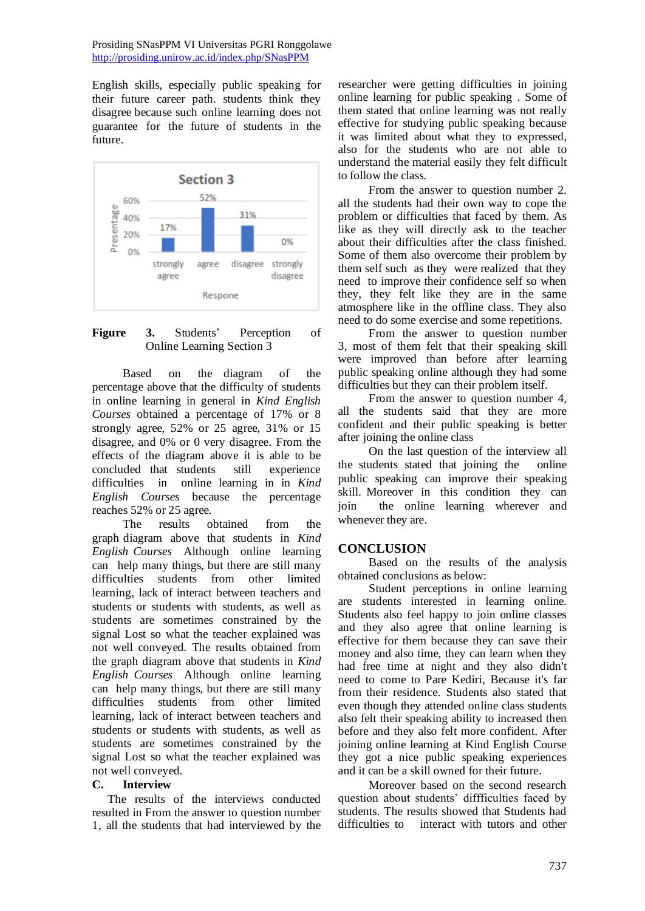English skills, especially public speaking for their future career path. students think they disagree because such online learning does not guarantee for the future of students in the future.



### **Figure 3.** Students' Perception of Online Learning Section 3

Based on the diagram of the percentage above that the difficulty of students in online learning in general in *Kind English Courses* obtained a percentage of 17% or 8 strongly agree, 52% or 25 agree, 31% or 15 disagree, and 0% or 0 very disagree. From the effects of the diagram above it is able to be concluded that students still experience difficulties in online learning in in *Kind English Courses* because the percentage reaches 52% or 25 agree.

The results obtained from the graph diagram above that students in *Kind English Courses* Although online learning can help many things, but there are still many difficulties students from other limited learning, lack of interact between teachers and students or students with students, as well as students are sometimes constrained by the signal Lost so what the teacher explained was not well conveyed. The results obtained from the graph diagram above that students in *Kind English Courses* Although online learning can help many things, but there are still many difficulties students from other limited learning, lack of interact between teachers and students or students with students, as well as students are sometimes constrained by the signal Lost so what the teacher explained was not well conveyed.

#### **C. Interview**

The results of the interviews conducted resulted in From the answer to question number 1, all the students that had interviewed by the researcher were getting difficulties in joining online learning for public speaking . Some of them stated that online learning was not really effective for studying public speaking because it was limited about what they to expressed, also for the students who are not able to understand the material easily they felt difficult to follow the class.

From the answer to question number 2. all the students had their own way to cope the problem or difficulties that faced by them. As like as they will directly ask to the teacher about their difficulties after the class finished. Some of them also overcome their problem by them self such as they were realized that they need to improve their confidence self so when they, they felt like they are in the same atmosphere like in the offline class. They also need to do some exercise and some repetitions.

From the answer to question number 3, most of them felt that their speaking skill were improved than before after learning public speaking online although they had some difficulties but they can their problem itself.

From the answer to question number 4, all the students said that they are more confident and their public speaking is better after joining the online class

On the last question of the interview all the students stated that joining the online public speaking can improve their speaking skill. Moreover in this condition they can join the online learning wherever and whenever they are.

#### **CONCLUSION**

Based on the results of the analysis obtained conclusions as below:

Student perceptions in online learning are students interested in learning online. Students also feel happy to join online classes and they also agree that online learning is effective for them because they can save their money and also time, they can learn when they had free time at night and they also didn't need to come to Pare Kediri, Because it's far from their residence. Students also stated that even though they attended online class students also felt their speaking ability to increased then before and they also felt more confident. After joining online learning at Kind English Course they got a nice public speaking experiences and it can be a skill owned for their future.

Moreover based on the second research question about students' diffficulties faced by students. The results showed that Students had difficulties to interact with tutors and other